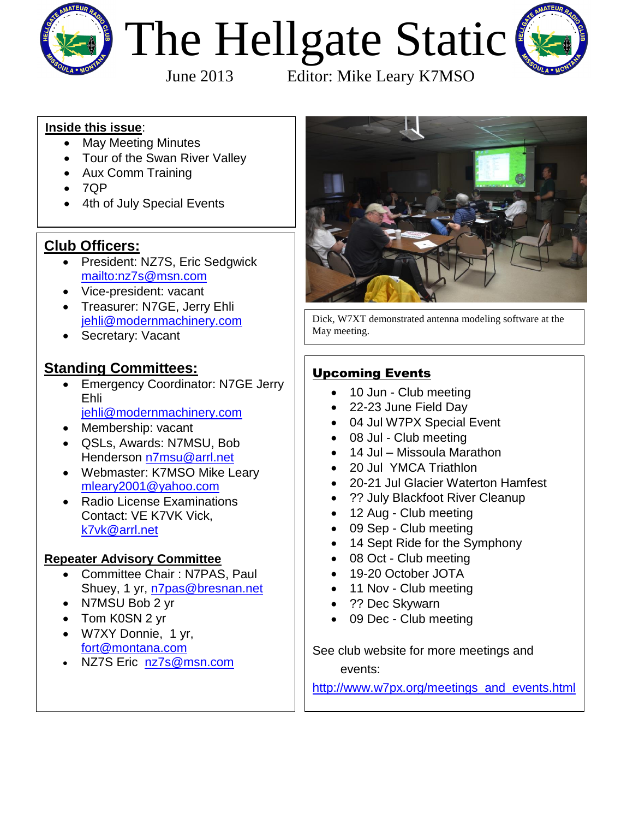

# The Hellgate Static



June 2013 Editor: Mike Leary K7MSO

#### **Inside this issue**:

- May Meeting Minutes
- Tour of the Swan River Valley
- Aux Comm Training
- $\bullet$  7QP
- 4th of July Special Events

#### **Club Officers:**

- President: NZ7S, Eric Sedgwick <mailto:nz7s@msn.com>
- Vice-president: [vacant](mailto:n7pas@bresnan.net?subject=Hellgate%20Amateur%20Radio%20Club%20Info)
- Treasurer: N7GE, Jerry Ehli [jehli@modernmachinery.com](mailto:jehli@modernmachinery.com?subject=Hellgate%20Amateur%20Radio%20Club%20Info)
- Secretary: Vacant

#### **Standing Committees:**

- Emergency Coordinator: N7GE Jerry Ehli [jehli@modernmachinery.com](mailto:jehli@modernmachinery.com?subject=Hellgate%20Amateur%20Radio%20Club%20Info)
- Membership: vacant
- QSLs, Awards: N7MSU, Bob Henderson [n7msu@arrl.net](mailto:n7msu@arrl.net)
- Webmaster: K7MSO Mike Leary [mleary2001@yahoo.com](mailto:mleary2001@yahoo.com?subject=Hellgate%20Amateur%20Radio%20Club%20Web%20Site%20Info)
- Radio License Examinations Contact: VE K7VK Vick, [k7vk@arrl.net](mailto:k7vk@arrl.net?subject=Hellgate%20Amateur%20Radio%20Club%20License%20Exams)

#### **Repeater Advisory Committee**

- Committee Chair : N7PAS, Paul Shuey, 1 yr, [n7pas@bresnan.net](mailto:n7pas@bresnan.net?subject=Hellgate%20Amateur%20Radio%20Club%20Info)
- N7MSU Bob 2 yr
- Tom K0SN 2 yr
- W7XY Donnie, 1 yr, [fort@montana.com](mailto:fort@montana.com)
- NZ7S Eric [nz7s@msn.com](mailto:nz7s@msn.com)



Dick, W7XT demonstrated antenna modeling software at the May meeting.

#### Upcoming Events

- 10 Jun Club meeting
- 22-23 June Field Day
- 04 Jul W7PX Special Event
- 08 Jul Club meeting
- 14 Jul Missoula Marathon
- 20 Jul YMCA Triathlon
- 20-21 Jul Glacier Waterton Hamfest
- ?? July Blackfoot River Cleanup
- 12 Aug Club meeting
- 09 Sep Club meeting
- 14 Sept Ride for the Symphony
- 08 Oct Club meeting
- 19-20 October JOTA
- 11 Nov Club meeting
- ?? Dec Skywarn
- 09 Dec Club meeting

See club website for more meetings and events:

[http://www.w7px.org/meetings\\_and\\_events.html](http://www.w7px.org/meetings_and_events.html)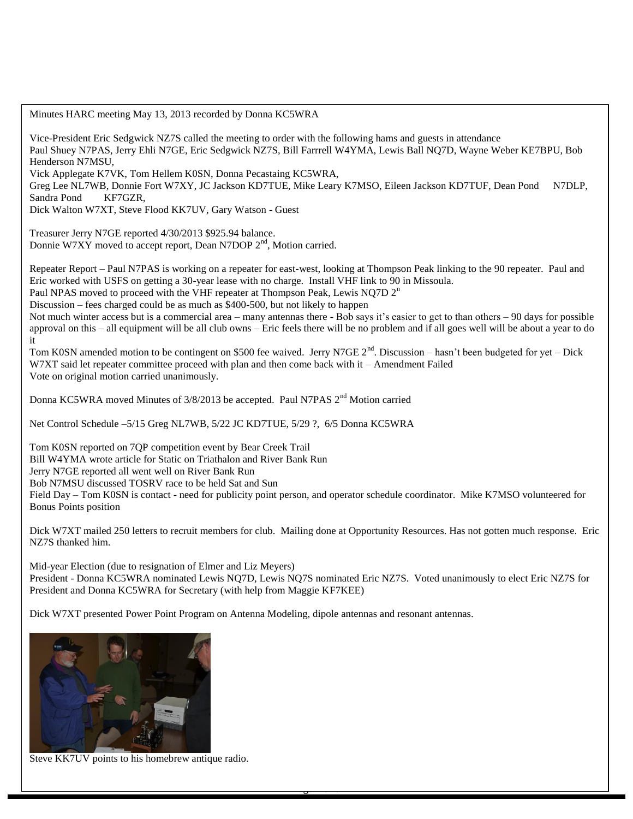Minutes HARC meeting May 13, 2013 recorded by Donna KC5WRA

Vice-President Eric Sedgwick NZ7S called the meeting to order with the following hams and guests in attendance Paul Shuey N7PAS, Jerry Ehli N7GE, Eric Sedgwick NZ7S, Bill Farrrell W4YMA, Lewis Ball NQ7D, Wayne Weber KE7BPU, Bob Henderson N7MSU,

Vick Applegate K7VK, Tom Hellem K0SN, Donna Pecastaing KC5WRA,

Greg Lee NL7WB, Donnie Fort W7XY, JC Jackson KD7TUE, Mike Leary K7MSO, Eileen Jackson KD7TUF, Dean Pond N7DLP, Sandra Pond KF7GZR,

Dick Walton W7XT, Steve Flood KK7UV, Gary Watson - Guest

Treasurer Jerry N7GE reported 4/30/2013 \$925.94 balance. Donnie W7XY moved to accept report, Dean N7DOP 2<sup>nd</sup>, Motion carried.

Repeater Report – Paul N7PAS is working on a repeater for east-west, looking at Thompson Peak linking to the 90 repeater. Paul and Eric worked with USFS on getting a 30-year lease with no charge. Install VHF link to 90 in Missoula.

Paul NPAS moved to proceed with the VHF repeater at Thompson Peak, Lewis NQ7D  $2<sup>n</sup>$ 

Discussion – fees charged could be as much as \$400-500, but not likely to happen

Not much winter access but is a commercial area – many antennas there - Bob says it's easier to get to than others – 90 days for possible approval on this – all equipment will be all club owns – Eric feels there will be no problem and if all goes well will be about a year to do it

Tom K0SN amended motion to be contingent on \$500 fee waived. Jerry N7GE  $2^{nd}$ . Discussion – hasn't been budgeted for yet – Dick W7XT said let repeater committee proceed with plan and then come back with it – Amendment Failed Vote on original motion carried unanimously.

Donna KC5WRA moved Minutes of 3/8/2013 be accepted. Paul N7PAS 2<sup>nd</sup> Motion carried

Net Control Schedule –5/15 Greg NL7WB, 5/22 JC KD7TUE, 5/29 ?, 6/5 Donna KC5WRA

Tom K0SN reported on 7QP competition event by Bear Creek Trail Bill W4YMA wrote article for Static on Triathalon and River Bank Run Jerry N7GE reported all went well on River Bank Run Bob N7MSU discussed TOSRV race to be held Sat and Sun Field Day – Tom K0SN is contact - need for publicity point person, and operator schedule coordinator. Mike K7MSO volunteered for Bonus Points position

Dick W7XT mailed 250 letters to recruit members for club. Mailing done at Opportunity Resources. Has not gotten much response. Eric NZ7S thanked him.

Mid-year Election (due to resignation of Elmer and Liz Meyers) President - Donna KC5WRA nominated Lewis NQ7D, Lewis NQ7S nominated Eric NZ7S. Voted unanimously to elect Eric NZ7S for President and Donna KC5WRA for Secretary (with help from Maggie KF7KEE)

Page **2** of **6**

Dick W7XT presented Power Point Program on Antenna Modeling, dipole antennas and resonant antennas.



Steve KK7UV points to his homebrew antique radio.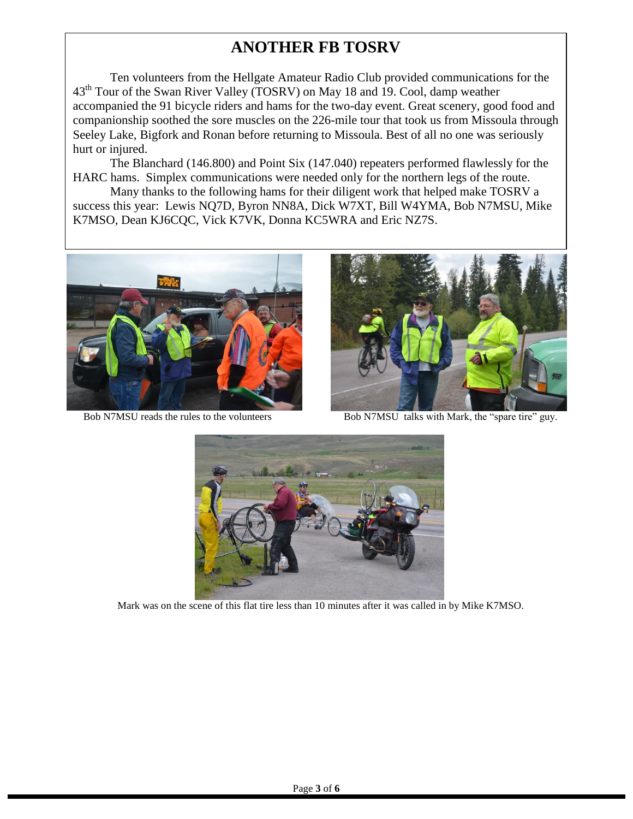## **ANOTHER FB TOSRV**

Ten volunteers from the Hellgate Amateur Radio Club provided communications for the 43th Tour of the Swan River Valley (TOSRV) on May 18 and 19. Cool, damp weather accompanied the 91 bicycle riders and hams for the two-day event. Great scenery, good food and companionship soothed the sore muscles on the 226-mile tour that took us from Missoula through Seeley Lake, Bigfork and Ronan before returning to Missoula. Best of all no one was seriously hurt or injured.

The Blanchard (146.800) and Point Six (147.040) repeaters performed flawlessly for the HARC hams. Simplex communications were needed only for the northern legs of the route.

Many thanks to the following hams for their diligent work that helped make TOSRV a success this year: Lewis NQ7D, Byron NN8A, Dick W7XT, Bill W4YMA, Bob N7MSU, Mike K7MSO, Dean KJ6CQC, Vick K7VK, Donna KC5WRA and Eric NZ7S.





Bob N7MSU reads the rules to the volunteers Bob N7MSU talks with Mark, the "spare tire" guy.



Mark was on the scene of this flat tire less than 10 minutes after it was called in by Mike K7MSO.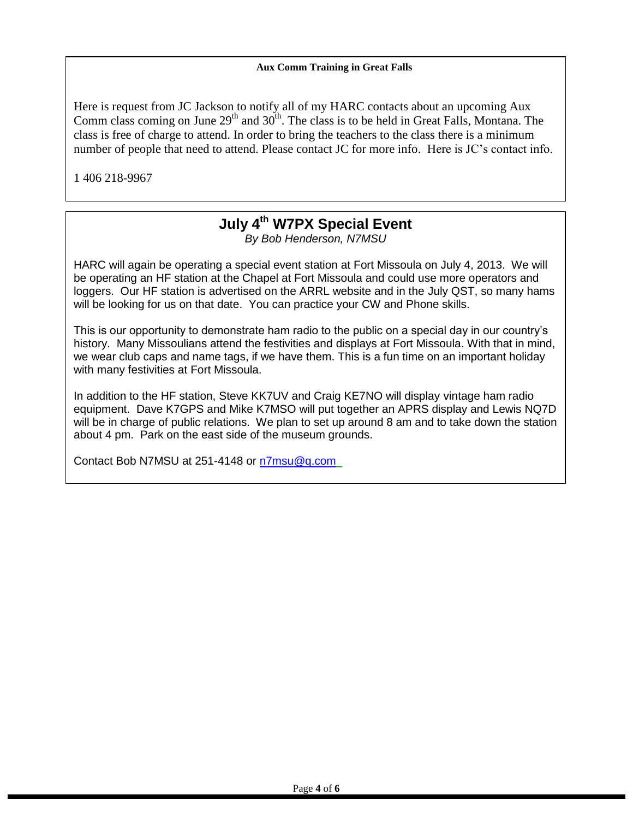#### **Aux Comm Training in Great Falls**

Here is request from JC Jackson to notify all of my HARC contacts about an upcoming Aux Comm class coming on June  $29<sup>th</sup>$  and  $30<sup>th</sup>$ . The class is to be held in Great Falls, Montana. The class is free of charge to attend. In order to bring the teachers to the class there is a minimum number of people that need to attend. Please contact JC for more info. Here is JC's contact info.

1 406 218-9967

jaar 1972 - Die koning van die 1974 van die 1974 van die 1974 van die 1974 van die 1974 van die 1974 van die 1<br>Gebeure

### **July 4th W7PX Special Event**

*By Bob Henderson, N7MSU*

HARC will again be operating a special event station at Fort Missoula on July 4, 2013. We will be operating an HF station at the Chapel at Fort Missoula and could use more operators and loggers. Our HF station is advertised on the ARRL website and in the July QST, so many hams will be looking for us on that date. You can practice your CW and Phone skills.

This is our opportunity to demonstrate ham radio to the public on a special day in our country's history. Many Missoulians attend the festivities and displays at Fort Missoula. With that in mind, we wear club caps and name tags, if we have them. This is a fun time on an important holiday with many festivities at Fort Missoula.

In addition to the HF station, Steve KK7UV and Craig KE7NO will display vintage ham radio equipment. Dave K7GPS and Mike K7MSO will put together an APRS display and Lewis NQ7D will be in charge of public relations. We plan to set up around 8 am and to take down the station about 4 pm. Park on the east side of the museum grounds.

Contact Bob N7MSU at 251-4148 or [n7msu@q.com](mailto:n7msu@q.com)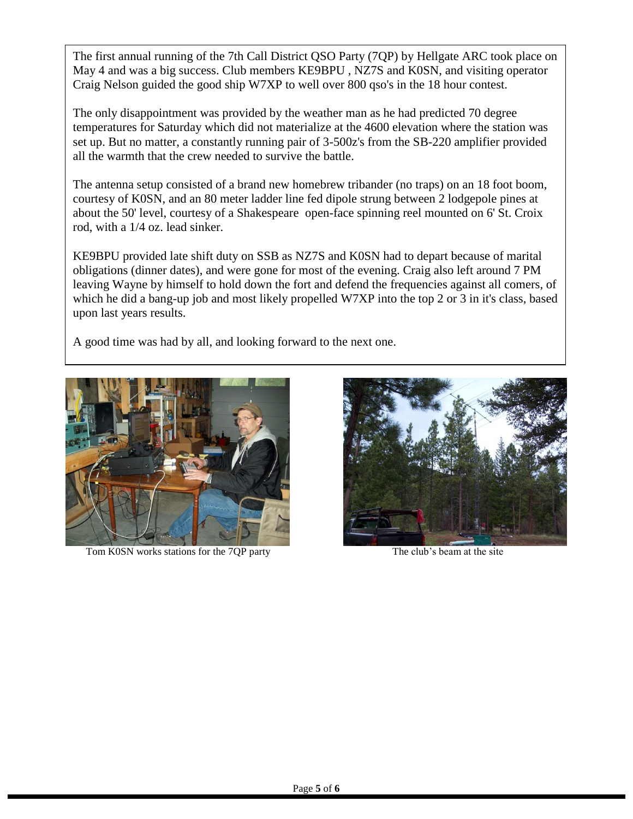The first annual running of the 7th Call District QSO Party (7QP) by Hellgate ARC took place on May 4 and was a big success. Club members KE9BPU , NZ7S and K0SN, and visiting operator Craig Nelson guided the good ship W7XP to well over 800 qso's in the 18 hour contest.

The only disappointment was provided by the weather man as he had predicted 70 degree temperatures for Saturday which did not materialize at the 4600 elevation where the station was set up. But no matter, a constantly running pair of 3-500z's from the SB-220 amplifier provided all the warmth that the crew needed to survive the battle.

The antenna setup consisted of a brand new homebrew tribander (no traps) on an 18 foot boom, courtesy of K0SN, and an 80 meter ladder line fed dipole strung between 2 lodgepole pines at about the 50' level, courtesy of a Shakespeare open-face spinning reel mounted on 6' St. Croix rod, with a 1/4 oz. lead sinker.

KE9BPU provided late shift duty on SSB as NZ7S and K0SN had to depart because of marital obligations (dinner dates), and were gone for most of the evening. Craig also left around 7 PM leaving Wayne by himself to hold down the fort and defend the frequencies against all comers, of which he did a bang-up job and most likely propelled W7XP into the top 2 or 3 in it's class, based upon last years results.

A good time was had by all, and looking forward to the next one.



Tom K0SN works stations for the 7QP party The club's beam at the site